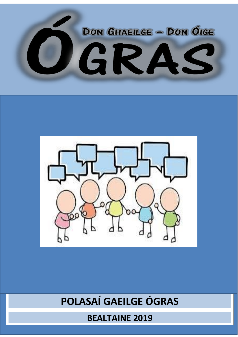



## POLASAÍ GAEILGE ÓGRAS

**BEALTAINE 2019**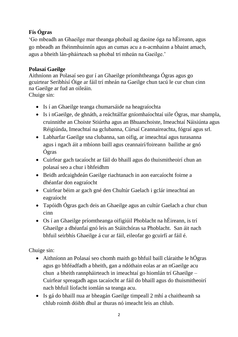## **Fís Ógras**

'Go mbeadh an Ghaeilge mar theanga phobail ag daoine óga na hÉireann, agus go mbeadh an fhéinmhuinnín agus an cumas acu a n-acmhainn a bhaint amach, agus a bheith lán-pháirteach sa phobal trí mheán na Gaeilge.'

## **Polasaí Gaeilge**

Aithníonn an Polasaí seo gur í an Ghaeilge príomhtheanga Ógras agus go gcuirtear Seribhísí Óige ar fáil trí mheán na Gaeilge chun tacú le cur chun cinn na Gaeilge ar fud an oileáin.

Chuige sin:

- Is í an Ghaeilge teanga chumarsáide na heagraíochta
- Is i nGaeilge, de ghnáth, a reáchtálfar gníomhaíochtaí uile Ógras, mar shampla, cruinnithe an Choiste Stiúrtha agus an Bhuanchoiste, Imeachtaí Náisiúnta agus Réigiúnda, Imeachtaí na gclubanna, Cúrsaí Ceannaireachta, fógraí agus srl.
- Labharfar Gaeilge sna clubanna, san oifig, ar imeachtaí agus turasanna agus i ngach áit a mbíonn baill agus ceannairí/foireann bailithe ar gnó Ógras
- Cuirfear gach tacaíocht ar fáil do bhaill agus do thuismitheoirí chun an polasaí seo a chur i bhfeidhm
- Beidh ardcaighdeán Gaeilge riachtanach in aon earcaíocht foirne a dhéanfar don eagraíocht
- Cuirfear béim ar gach gné den Chultúr Gaelach i gclár imeachtaí an eagraíocht
- Tapóidh Ógras gach deis an Ghaeilge agus an cultúr Gaelach a chur chun cinn
- Os í an Ghaeilge príomtheanga oifigiúil Phoblacht na hÉireann, is trí Ghaeilge a dhéanfaí gnó leis an Stáitchóras sa Phoblacht. San áit nach bhfuil seirbhís Ghaeilge á cur ar fáil, eileofar go gcuirfí ar fáil é.

Chuige sin:

- Aithníonn an Polasaí seo chomh maith go bhfuil baill cláraithe le hÓgras agus go bhféadfadh a bheith, gan a ndóthain eolas ar an nGaeilge acu chun a bheith rannpháirteach in imeachtaí go hiomlán trí Ghaeilge – Cuirfear spreagadh agus tacaíocht ar fáil do bhaill agus do thuismitheoirí nach bhfuil líofacht iomlán sa teanga acu.
- Is gá do bhaill nua ar bheagán Gaeilge timpeall 2 mhí a chaitheamh sa chlub roimh dóibh dhul ar thuras nó imeacht leis an chlub.